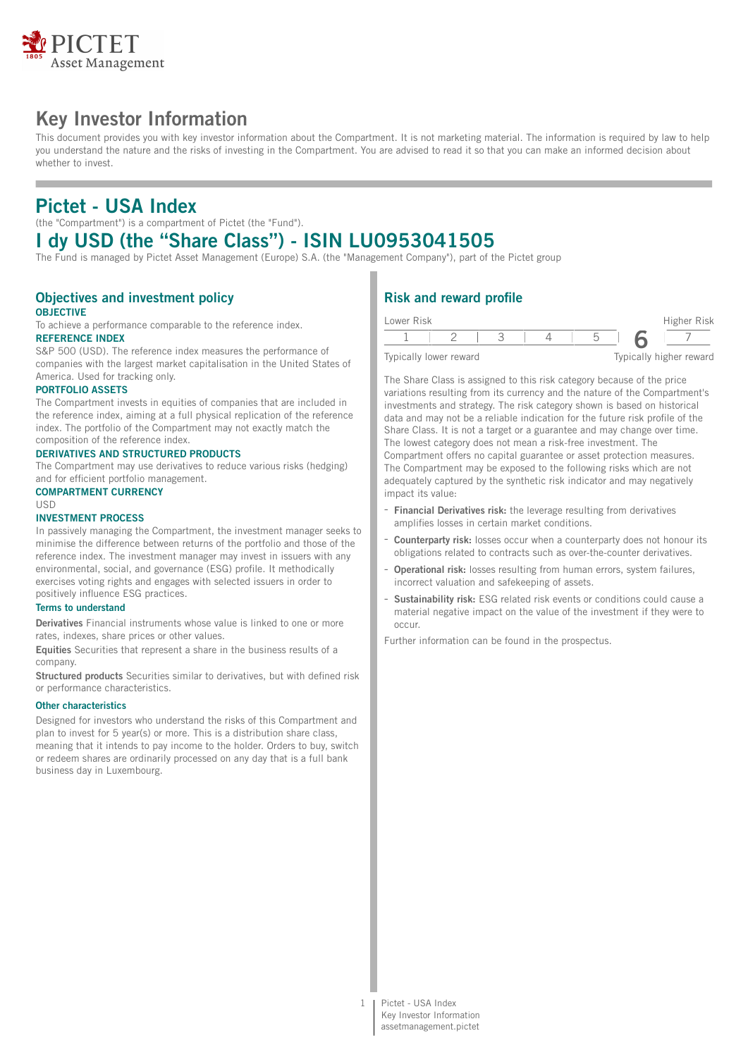

# **Key Investor Information**

This document provides you with key investor information about the Compartment. It is not marketing material. The information is required by law to help you understand the nature and the risks of investing in the Compartment. You are advised to read it so that you can make an informed decision about whether to invest.

# **Pictet - USA Index**

(the "Compartment") is a compartment of Pictet (the "Fund").

# **I dy USD (the "Share Class") - ISIN LU0953041505**

The Fund is managed by Pictet Asset Management (Europe) S.A. (the "Management Company"), part of the Pictet group

#### **Objectives and investment policy OBJECTIVE**

To achieve a performance comparable to the reference index. **REFERENCE INDEX**

# S&P 500 (USD). The reference index measures the performance of

companies with the largest market capitalisation in the United States of America. Used for tracking only.

### **PORTFOLIO ASSETS**

The Compartment invests in equities of companies that are included in the reference index, aiming at a full physical replication of the reference index. The portfolio of the Compartment may not exactly match the composition of the reference index.

### **DERIVATIVES AND STRUCTURED PRODUCTS**

The Compartment may use derivatives to reduce various risks (hedging) and for efficient portfolio management.

#### **COMPARTMENT CURRENCY**

USD

### **INVESTMENT PROCESS**

In passively managing the Compartment, the investment manager seeks to minimise the difference between returns of the portfolio and those of the reference index. The investment manager may invest in issuers with any environmental, social, and governance (ESG) profile. It methodically exercises voting rights and engages with selected issuers in order to positively influence ESG practices.

#### **Terms to understand**

**Derivatives** Financial instruments whose value is linked to one or more rates, indexes, share prices or other values.

**Equities** Securities that represent a share in the business results of a company.

**Structured products** Securities similar to derivatives, but with defined risk or performance characteristics.

#### **Other characteristics**

Designed for investors who understand the risks of this Compartment and plan to invest for 5 year(s) or more. This is a distribution share class, meaning that it intends to pay income to the holder. Orders to buy, switch or redeem shares are ordinarily processed on any day that is a full bank business day in Luxembourg.

# **Risk and reward profile**

| Lower Risk | Higher Risk |  |  |
|------------|-------------|--|--|
|            |             |  |  |
|            |             |  |  |

Typically lower reward Typically higher reward

The Share Class is assigned to this risk category because of the price variations resulting from its currency and the nature of the Compartment's investments and strategy. The risk category shown is based on historical data and may not be a reliable indication for the future risk profile of the Share Class. It is not a target or a guarantee and may change over time. The lowest category does not mean a risk-free investment. The Compartment offers no capital guarantee or asset protection measures. The Compartment may be exposed to the following risks which are not adequately captured by the synthetic risk indicator and may negatively impact its value:

- **Financial Derivatives risk:** the leverage resulting from derivatives amplifies losses in certain market conditions.
- Counterparty risk: losses occur when a counterparty does not honour its obligations related to contracts such as over-the-counter derivatives.
- **Operational risk:** losses resulting from human errors, system failures, incorrect valuation and safekeeping of assets.
- **Sustainability risk:** ESG related risk events or conditions could cause a material negative impact on the value of the investment if they were to occur.

Further information can be found in the prospectus.